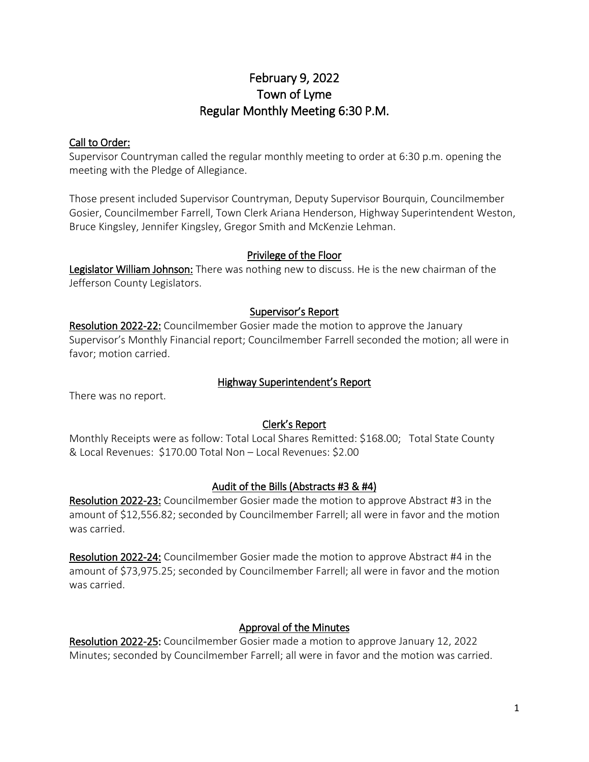# February 9, 2022 Town of Lyme Regular Monthly Meeting 6:30 P.M.

## Call to Order:

Supervisor Countryman called the regular monthly meeting to order at 6:30 p.m. opening the meeting with the Pledge of Allegiance.

Those present included Supervisor Countryman, Deputy Supervisor Bourquin, Councilmember Gosier, Councilmember Farrell, Town Clerk Ariana Henderson, Highway Superintendent Weston, Bruce Kingsley, Jennifer Kingsley, Gregor Smith and McKenzie Lehman.

#### Privilege of the Floor

Legislator William Johnson: There was nothing new to discuss. He is the new chairman of the Jefferson County Legislators.

#### Supervisor's Report

Resolution 2022-22: Councilmember Gosier made the motion to approve the January Supervisor's Monthly Financial report; Councilmember Farrell seconded the motion; all were in favor; motion carried.

#### Highway Superintendent's Report

There was no report.

## Clerk's Report

Monthly Receipts were as follow: Total Local Shares Remitted: \$168.00; Total State County & Local Revenues: \$170.00 Total Non – Local Revenues: \$2.00

#### Audit of the Bills (Abstracts #3 & #4)

Resolution 2022-23: Councilmember Gosier made the motion to approve Abstract #3 in the amount of \$12,556.82; seconded by Councilmember Farrell; all were in favor and the motion was carried.

Resolution 2022-24: Councilmember Gosier made the motion to approve Abstract #4 in the amount of \$73,975.25; seconded by Councilmember Farrell; all were in favor and the motion was carried.

## Approval of the Minutes

Resolution 2022-25: Councilmember Gosier made a motion to approve January 12, 2022 Minutes; seconded by Councilmember Farrell; all were in favor and the motion was carried.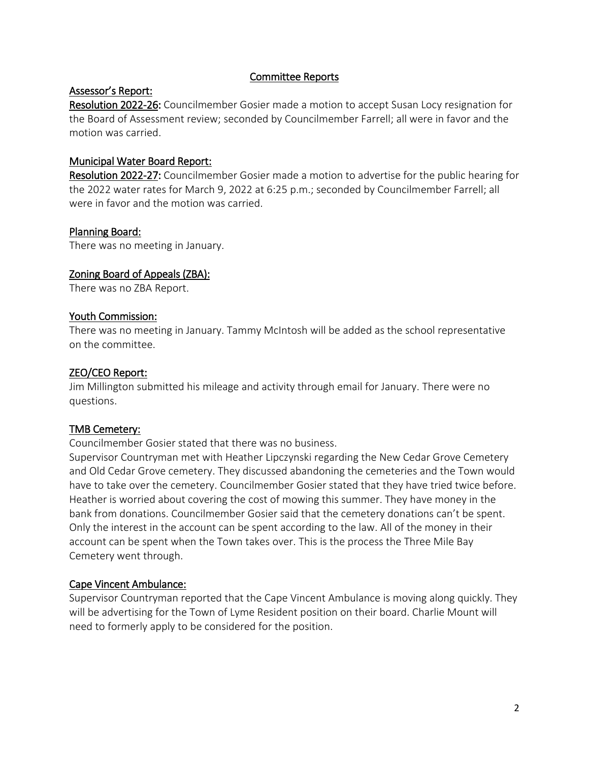#### Committee Reports

#### Assessor's Report:

Resolution 2022-26: Councilmember Gosier made a motion to accept Susan Locy resignation for the Board of Assessment review; seconded by Councilmember Farrell; all were in favor and the motion was carried.

#### Municipal Water Board Report:

Resolution 2022-27: Councilmember Gosier made a motion to advertise for the public hearing for the 2022 water rates for March 9, 2022 at 6:25 p.m.; seconded by Councilmember Farrell; all were in favor and the motion was carried.

#### Planning Board:

There was no meeting in January.

#### Zoning Board of Appeals (ZBA):

There was no ZBA Report.

#### Youth Commission:

There was no meeting in January. Tammy McIntosh will be added as the school representative on the committee.

#### ZEO/CEO Report:

Jim Millington submitted his mileage and activity through email for January. There were no questions.

#### TMB Cemetery:

Councilmember Gosier stated that there was no business.

Supervisor Countryman met with Heather Lipczynski regarding the New Cedar Grove Cemetery and Old Cedar Grove cemetery. They discussed abandoning the cemeteries and the Town would have to take over the cemetery. Councilmember Gosier stated that they have tried twice before. Heather is worried about covering the cost of mowing this summer. They have money in the bank from donations. Councilmember Gosier said that the cemetery donations can't be spent. Only the interest in the account can be spent according to the law. All of the money in their account can be spent when the Town takes over. This is the process the Three Mile Bay Cemetery went through.

#### Cape Vincent Ambulance:

Supervisor Countryman reported that the Cape Vincent Ambulance is moving along quickly. They will be advertising for the Town of Lyme Resident position on their board. Charlie Mount will need to formerly apply to be considered for the position.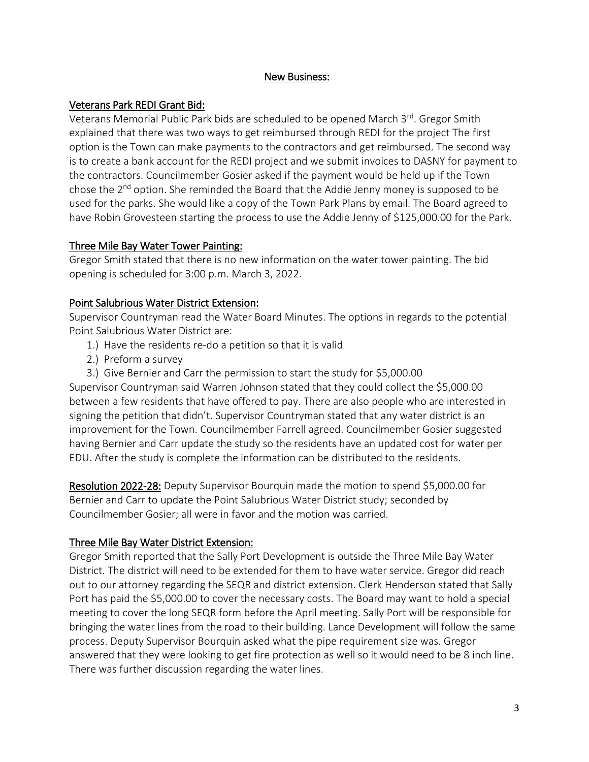### New Business:

# Veterans Park REDI Grant Bid:

Veterans Memorial Public Park bids are scheduled to be opened March 3<sup>rd</sup>. Gregor Smith explained that there was two ways to get reimbursed through REDI for the project The first option is the Town can make payments to the contractors and get reimbursed. The second way is to create a bank account for the REDI project and we submit invoices to DASNY for payment to the contractors. Councilmember Gosier asked if the payment would be held up if the Town chose the 2nd option. She reminded the Board that the Addie Jenny money is supposed to be used for the parks. She would like a copy of the Town Park Plans by email. The Board agreed to have Robin Grovesteen starting the process to use the Addie Jenny of \$125,000.00 for the Park.

#### Three Mile Bay Water Tower Painting:

Gregor Smith stated that there is no new information on the water tower painting. The bid opening is scheduled for 3:00 p.m. March 3, 2022.

## Point Salubrious Water District Extension:

Supervisor Countryman read the Water Board Minutes. The options in regards to the potential Point Salubrious Water District are:

- 1.) Have the residents re-do a petition so that it is valid
- 2.) Preform a survey
- 3.) Give Bernier and Carr the permission to start the study for \$5,000.00

Supervisor Countryman said Warren Johnson stated that they could collect the \$5,000.00 between a few residents that have offered to pay. There are also people who are interested in signing the petition that didn't. Supervisor Countryman stated that any water district is an improvement for the Town. Councilmember Farrell agreed. Councilmember Gosier suggested having Bernier and Carr update the study so the residents have an updated cost for water per EDU. After the study is complete the information can be distributed to the residents.

Resolution 2022-28: Deputy Supervisor Bourquin made the motion to spend \$5,000.00 for Bernier and Carr to update the Point Salubrious Water District study; seconded by Councilmember Gosier; all were in favor and the motion was carried.

## Three Mile Bay Water District Extension:

Gregor Smith reported that the Sally Port Development is outside the Three Mile Bay Water District. The district will need to be extended for them to have water service. Gregor did reach out to our attorney regarding the SEQR and district extension. Clerk Henderson stated that Sally Port has paid the \$5,000.00 to cover the necessary costs. The Board may want to hold a special meeting to cover the long SEQR form before the April meeting. Sally Port will be responsible for bringing the water lines from the road to their building. Lance Development will follow the same process. Deputy Supervisor Bourquin asked what the pipe requirement size was. Gregor answered that they were looking to get fire protection as well so it would need to be 8 inch line. There was further discussion regarding the water lines.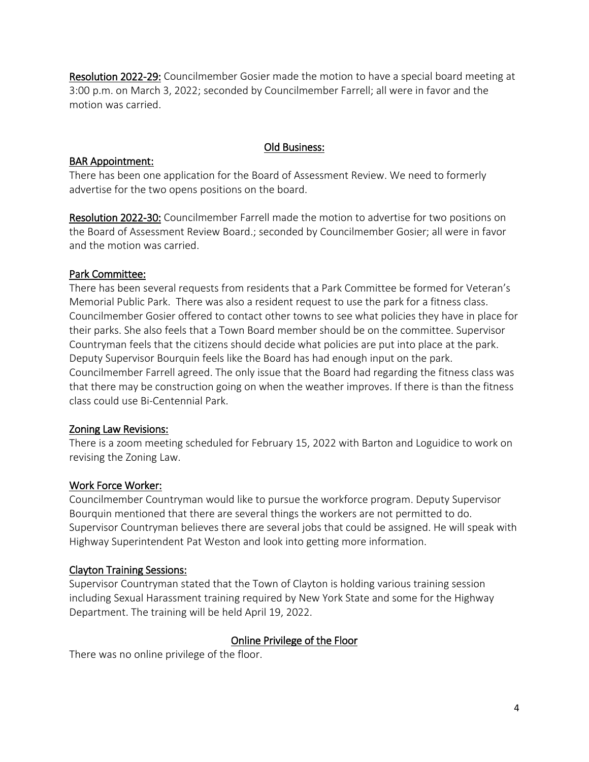Resolution 2022-29: Councilmember Gosier made the motion to have a special board meeting at 3:00 p.m. on March 3, 2022; seconded by Councilmember Farrell; all were in favor and the motion was carried.

# Old Business:

# BAR Appointment:

There has been one application for the Board of Assessment Review. We need to formerly advertise for the two opens positions on the board.

Resolution 2022-30: Councilmember Farrell made the motion to advertise for two positions on the Board of Assessment Review Board.; seconded by Councilmember Gosier; all were in favor and the motion was carried.

## Park Committee:

There has been several requests from residents that a Park Committee be formed for Veteran's Memorial Public Park. There was also a resident request to use the park for a fitness class. Councilmember Gosier offered to contact other towns to see what policies they have in place for their parks. She also feels that a Town Board member should be on the committee. Supervisor Countryman feels that the citizens should decide what policies are put into place at the park. Deputy Supervisor Bourquin feels like the Board has had enough input on the park. Councilmember Farrell agreed. The only issue that the Board had regarding the fitness class was that there may be construction going on when the weather improves. If there is than the fitness class could use Bi-Centennial Park.

## Zoning Law Revisions:

There is a zoom meeting scheduled for February 15, 2022 with Barton and Loguidice to work on revising the Zoning Law.

## Work Force Worker:

Councilmember Countryman would like to pursue the workforce program. Deputy Supervisor Bourquin mentioned that there are several things the workers are not permitted to do. Supervisor Countryman believes there are several jobs that could be assigned. He will speak with Highway Superintendent Pat Weston and look into getting more information.

## Clayton Training Sessions:

Supervisor Countryman stated that the Town of Clayton is holding various training session including Sexual Harassment training required by New York State and some for the Highway Department. The training will be held April 19, 2022.

## Online Privilege of the Floor

There was no online privilege of the floor.